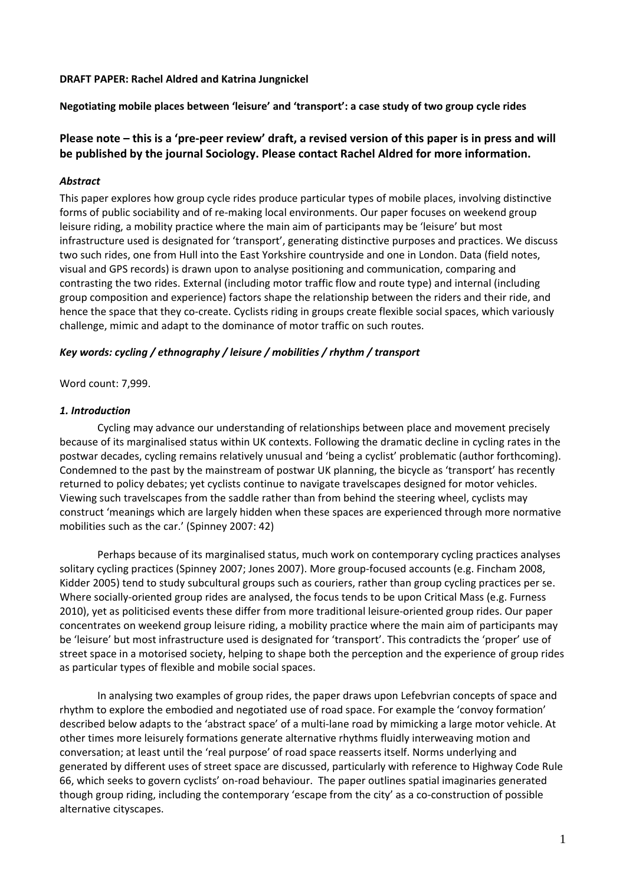#### **DRAFT PAPER: Rachel Aldred and Katrina Jungnickel**

**Negotiating mobile places between 'leisure' and 'transport': a case study of two group cycle rides**

# Please note – this is a 'pre-peer review' draft, a revised version of this paper is in press and will **be published by the journal Sociology. Please contact Rachel Aldred for more information.**

## *Abstract*

This paper explores how group cycle rides produce particular types of mobile places, involving distinctive forms of public sociability and of re-making local environments. Our paper focuses on weekend group leisure riding, a mobility practice where the main aim of participants may be 'leisure' but most infrastructure used is designated for 'transport', generating distinctive purposes and practices. We discuss two such rides, one from Hull into the East Yorkshire countryside and one in London. Data (field notes, visual and GPS records) is drawn upon to analyse positioning and communication, comparing and contrasting the two rides. External (including motor traffic flow and route type) and internal (including group composition and experience) factors shape the relationship between the riders and their ride, and hence the space that they co-create. Cyclists riding in groups create flexible social spaces, which variously challenge, mimic and adapt to the dominance of motor traffic on such routes.

### *Key words: cycling / ethnography / leisure / mobilities / rhythm / transport*

### Word count: 7,999.

## *1. Introduction*

Cycling may advance our understanding of relationships between place and movement precisely because of its marginalised status within UK contexts. Following the dramatic decline in cycling rates in the postwar decades, cycling remains relatively unusual and 'being a cyclist' problematic (author forthcoming). Condemned to the past by the mainstream of postwar UK planning, the bicycle as 'transport' has recently returned to policy debates; yet cyclists continue to navigate travelscapes designed for motor vehicles. Viewing such travelscapes from the saddle rather than from behind the steering wheel, cyclists may construct 'meanings which are largely hidden when these spaces are experienced through more normative mobilities such as the car.' (Spinney 2007: 42)

Perhaps because of its marginalised status, much work on contemporary cycling practices analyses solitary cycling practices (Spinney 2007; Jones 2007). More group‐focused accounts (e.g. Fincham 2008, Kidder 2005) tend to study subcultural groups such as couriers, rather than group cycling practices per se. Where socially-oriented group rides are analysed, the focus tends to be upon Critical Mass (e.g. Furness 2010), yet as politicised events these differ from more traditional leisure-oriented group rides. Our paper concentrates on weekend group leisure riding, a mobility practice where the main aim of participants may be 'leisure' but most infrastructure used is designated for 'transport'. This contradicts the 'proper' use of street space in a motorised society, helping to shape both the perception and the experience of group rides as particular types of flexible and mobile social spaces.

In analysing two examples of group rides, the paper draws upon Lefebvrian concepts of space and rhythm to explore the embodied and negotiated use of road space. For example the 'convoy formation' described below adapts to the 'abstract space' of a multi‐lane road by mimicking a large motor vehicle. At other times more leisurely formations generate alternative rhythms fluidly interweaving motion and conversation; at least until the 'real purpose' of road space reasserts itself. Norms underlying and generated by different uses of street space are discussed, particularly with reference to Highway Code Rule 66, which seeks to govern cyclists' on‐road behaviour. The paper outlines spatial imaginaries generated though group riding, including the contemporary 'escape from the city' as a co-construction of possible alternative cityscapes.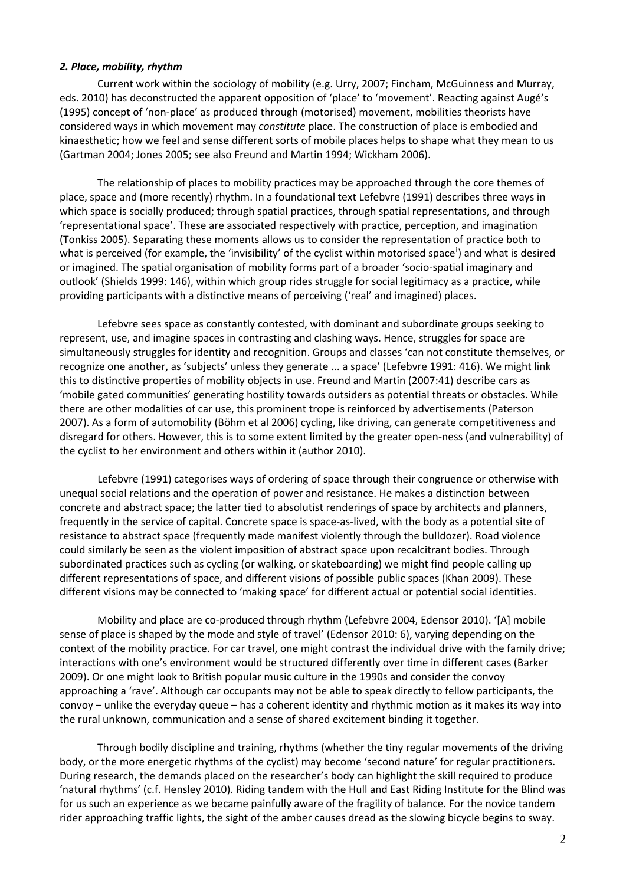#### *2. Place, mobility, rhythm*

Current work within the sociology of mobility (e.g. Urry, 2007; Fincham, McGuinness and Murray, eds. 2010) has deconstructed the apparent opposition of 'place' to 'movement'. Reacting against Augé's (1995) concept of 'non‐place' as produced through (motorised) movement, mobilities theorists have considered ways in which movement may *constitute* place. The construction of place is embodied and kinaesthetic; how we feel and sense different sorts of mobile places helps to shape what they mean to us (Gartman 2004; Jones 2005; see also Freund and Martin 1994; Wickham 2006).

The relationship of places to mobility practices may be approached through the core themes of place, space and (more recently) rhythm. In a foundational text Lefebvre (1991) describes three ways in which space is socially produced; through spatial practices, through spatial representations, and through 'representational space'. These are associated respectively with practice, perception, and imagination (Tonkiss 2005). Separating these moments allows us to consider the representation of practice both to what [i](#page-11-0)s perceived (for example, the 'invisibility' of the cyclist within motorised space<sup>i</sup>) and what is desired or imagined. The spatial organisation of mobility forms part of a broader 'socio‐spatial imaginary and outlook' (Shields 1999: 146), within which group rides struggle for social legitimacy as a practice, while providing participants with a distinctive means of perceiving ('real' and imagined) places.

Lefebvre sees space as constantly contested, with dominant and subordinate groups seeking to represent, use, and imagine spaces in contrasting and clashing ways. Hence, struggles for space are simultaneously struggles for identity and recognition. Groups and classes 'can not constitute themselves, or recognize one another, as 'subjects' unless they generate ... a space' (Lefebvre 1991: 416). We might link this to distinctive properties of mobility objects in use. Freund and Martin (2007:41) describe cars as 'mobile gated communities' generating hostility towards outsiders as potential threats or obstacles. While there are other modalities of car use, this prominent trope is reinforced by advertisements (Paterson 2007). As a form of automobility (Böhm et al 2006) cycling, like driving, can generate competitiveness and disregard for others. However, this is to some extent limited by the greater open‐ness (and vulnerability) of the cyclist to her environment and others within it (author 2010).

Lefebvre (1991) categorises ways of ordering of space through their congruence or otherwise with unequal social relations and the operation of power and resistance. He makes a distinction between concrete and abstract space; the latter tied to absolutist renderings of space by architects and planners, frequently in the service of capital. Concrete space is space‐as‐lived, with the body as a potential site of resistance to abstract space (frequently made manifest violently through the bulldozer). Road violence could similarly be seen as the violent imposition of abstract space upon recalcitrant bodies. Through subordinated practices such as cycling (or walking, or skateboarding) we might find people calling up different representations of space, and different visions of possible public spaces (Khan 2009). These different visions may be connected to 'making space' for different actual or potential social identities.

Mobility and place are co-produced through rhythm (Lefebvre 2004, Edensor 2010). '[A] mobile sense of place is shaped by the mode and style of travel' (Edensor 2010: 6), varying depending on the context of the mobility practice. For car travel, one might contrast the individual drive with the family drive; interactions with one's environment would be structured differently over time in different cases (Barker 2009). Or one might look to British popular music culture in the 1990s and consider the convoy approaching a 'rave'. Although car occupants may not be able to speak directly to fellow participants, the convoy – unlike the everyday queue – has a coherent identity and rhythmic motion as it makes its way into the rural unknown, communication and a sense of shared excitement binding it together.

Through bodily discipline and training, rhythms (whether the tiny regular movements of the driving body, or the more energetic rhythms of the cyclist) may become 'second nature' for regular practitioners. During research, the demands placed on the researcher's body can highlight the skill required to produce 'natural rhythms' (c.f. Hensley 2010). Riding tandem with the Hull and East Riding Institute for the Blind was for us such an experience as we became painfully aware of the fragility of balance. For the novice tandem rider approaching traffic lights, the sight of the amber causes dread as the slowing bicycle begins to sway.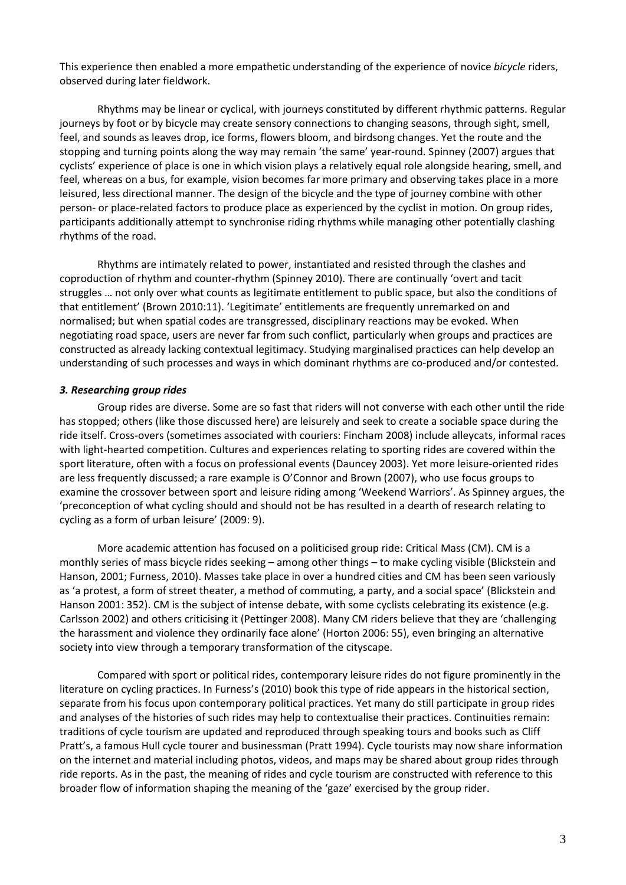This experience then enabled a more empathetic understanding of the experience of novice *bicycle* riders, observed during later fieldwork.

Rhythms may be linear or cyclical, with journeys constituted by different rhythmic patterns. Regular journeys by foot or by bicycle may create sensory connections to changing seasons, through sight, smell, feel, and sounds as leaves drop, ice forms, flowers bloom, and birdsong changes. Yet the route and the stopping and turning points along the way may remain 'the same' year-round. Spinney (2007) argues that cyclists' experience of place is one in which vision plays a relatively equal role alongside hearing, smell, and feel, whereas on a bus, for example, vision becomes far more primary and observing takes place in a more leisured, less directional manner. The design of the bicycle and the type of journey combine with other person- or place-related factors to produce place as experienced by the cyclist in motion. On group rides, participants additionally attempt to synchronise riding rhythms while managing other potentially clashing rhythms of the road.

Rhythms are intimately related to power, instantiated and resisted through the clashes and coproduction of rhythm and counter‐rhythm (Spinney 2010). There are continually 'overt and tacit struggles … not only over what counts as legitimate entitlement to public space, but also the conditions of that entitlement' (Brown 2010:11). 'Legitimate' entitlements are frequently unremarked on and normalised; but when spatial codes are transgressed, disciplinary reactions may be evoked. When negotiating road space, users are never far from such conflict, particularly when groups and practices are constructed as already lacking contextual legitimacy. Studying marginalised practices can help develop an understanding of such processes and ways in which dominant rhythms are co-produced and/or contested.

### *3. Researching group rides*

Group rides are diverse. Some are so fast that riders will not converse with each other until the ride has stopped; others (like those discussed here) are leisurely and seek to create a sociable space during the ride itself. Cross‐overs (sometimes associated with couriers: Fincham 2008) include alleycats, informal races with light-hearted competition. Cultures and experiences relating to sporting rides are covered within the sport literature, often with a focus on professional events (Dauncey 2003). Yet more leisure‐oriented rides are less frequently discussed; a rare example is O'Connor and Brown (2007), who use focus groups to examine the crossover between sport and leisure riding among 'Weekend Warriors'. As Spinney argues, the 'preconception of what cycling should and should not be has resulted in a dearth of research relating to cycling as a form of urban leisure' (2009: 9).

More academic attention has focused on a politicised group ride: Critical Mass (CM). CM is a monthly series of mass bicycle rides seeking – among other things – to make cycling visible (Blickstein and Hanson, 2001; Furness, 2010). Masses take place in over a hundred cities and CM has been seen variously as 'a protest, a form of street theater, a method of commuting, a party, and a social space' (Blickstein and Hanson 2001: 352). CM is the subject of intense debate, with some cyclists celebrating its existence (e.g. Carlsson 2002) and others criticising it (Pettinger 2008). Many CM riders believe that they are 'challenging the harassment and violence they ordinarily face alone' (Horton 2006: 55), even bringing an alternative society into view through a temporary transformation of the cityscape.

Compared with sport or political rides, contemporary leisure rides do not figure prominently in the literature on cycling practices. In Furness's (2010) book this type of ride appears in the historical section, separate from his focus upon contemporary political practices. Yet many do still participate in group rides and analyses of the histories of such rides may help to contextualise their practices. Continuities remain: traditions of cycle tourism are updated and reproduced through speaking tours and books such as Cliff Pratt's, a famous Hull cycle tourer and businessman (Pratt 1994). Cycle tourists may now share information on the internet and material including photos, videos, and maps may be shared about group rides through ride reports. As in the past, the meaning of rides and cycle tourism are constructed with reference to this broader flow of information shaping the meaning of the 'gaze' exercised by the group rider.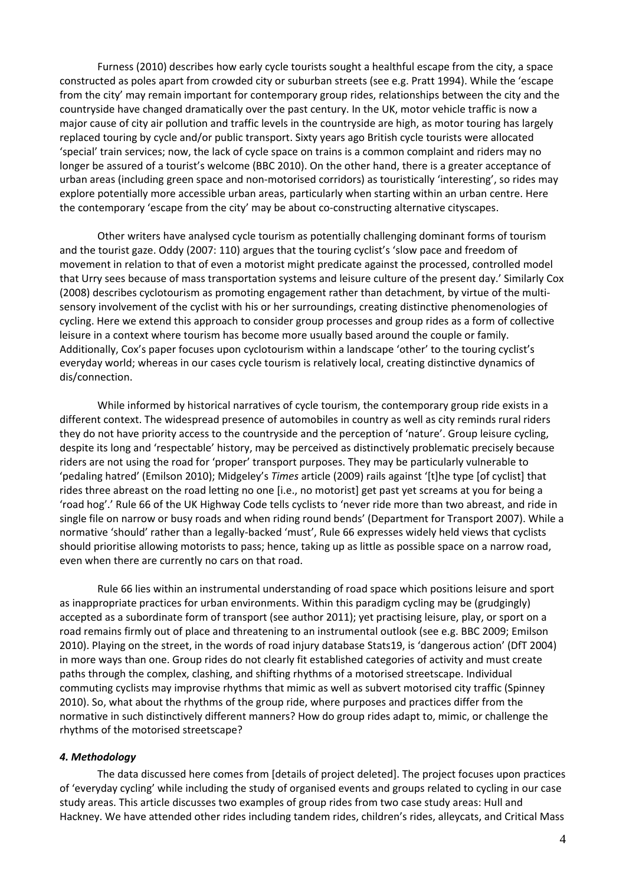Furness (2010) describes how early cycle tourists sought a healthful escape from the city, a space constructed as poles apart from crowded city or suburban streets (see e.g. Pratt 1994). While the 'escape from the city' may remain important for contemporary group rides, relationships between the city and the countryside have changed dramatically over the past century. In the UK, motor vehicle traffic is now a major cause of city air pollution and traffic levels in the countryside are high, as motor touring has largely replaced touring by cycle and/or public transport. Sixty years ago British cycle tourists were allocated 'special' train services; now, the lack of cycle space on trains is a common complaint and riders may no longer be assured of a tourist's welcome (BBC 2010). On the other hand, there is a greater acceptance of urban areas (including green space and non‐motorised corridors) as touristically 'interesting', so rides may explore potentially more accessible urban areas, particularly when starting within an urban centre. Here the contemporary 'escape from the city' may be about co-constructing alternative cityscapes.

Other writers have analysed cycle tourism as potentially challenging dominant forms of tourism and the tourist gaze. Oddy (2007: 110) argues that the touring cyclist's 'slow pace and freedom of movement in relation to that of even a motorist might predicate against the processed, controlled model that Urry sees because of mass transportation systems and leisure culture of the present day.' Similarly Cox (2008) describes cyclotourism as promoting engagement rather than detachment, by virtue of the multi‐ sensory involvement of the cyclist with his or her surroundings, creating distinctive phenomenologies of cycling. Here we extend this approach to consider group processes and group rides as a form of collective leisure in a context where tourism has become more usually based around the couple or family. Additionally, Cox's paper focuses upon cyclotourism within a landscape 'other' to the touring cyclist's everyday world; whereas in our cases cycle tourism is relatively local, creating distinctive dynamics of dis/connection.

While informed by historical narratives of cycle tourism, the contemporary group ride exists in a different context. The widespread presence of automobiles in country as well as city reminds rural riders they do not have priority access to the countryside and the perception of 'nature'. Group leisure cycling, despite its long and 'respectable' history, may be perceived as distinctively problematic precisely because riders are not using the road for 'proper' transport purposes. They may be particularly vulnerable to 'pedaling hatred' (Emilson 2010); Midgeley's *Times* article (2009) rails against '[t]he type [of cyclist] that rides three abreast on the road letting no one [i.e., no motorist] get past yet screams at you for being a 'road hog'.' Rule 66 of the UK Highway Code tells cyclists to 'never ride more than two abreast, and ride in single file on narrow or busy roads and when riding round bends' (Department for Transport 2007). While a normative 'should' rather than a legally‐backed 'must', Rule 66 expresses widely held views that cyclists should prioritise allowing motorists to pass; hence, taking up as little as possible space on a narrow road, even when there are currently no cars on that road.

Rule 66 lies within an instrumental understanding of road space which positions leisure and sport as inappropriate practices for urban environments. Within this paradigm cycling may be (grudgingly) accepted as a subordinate form of transport (see author 2011); yet practising leisure, play, or sport on a road remains firmly out of place and threatening to an instrumental outlook (see e.g. BBC 2009; Emilson 2010). Playing on the street, in the words of road injury database Stats19, is 'dangerous action' (DfT 2004) in more ways than one. Group rides do not clearly fit established categories of activity and must create paths through the complex, clashing, and shifting rhythms of a motorised streetscape. Individual commuting cyclists may improvise rhythms that mimic as well as subvert motorised city traffic (Spinney 2010). So, what about the rhythms of the group ride, where purposes and practices differ from the normative in such distinctively different manners? How do group rides adapt to, mimic, or challenge the rhythms of the motorised streetscape?

### *4. Methodology*

The data discussed here comes from [details of project deleted]. The project focuses upon practices of 'everyday cycling' while including the study of organised events and groups related to cycling in our case study areas. This article discusses two examples of group rides from two case study areas: Hull and Hackney. We have attended other rides including tandem rides, children's rides, alleycats, and Critical Mass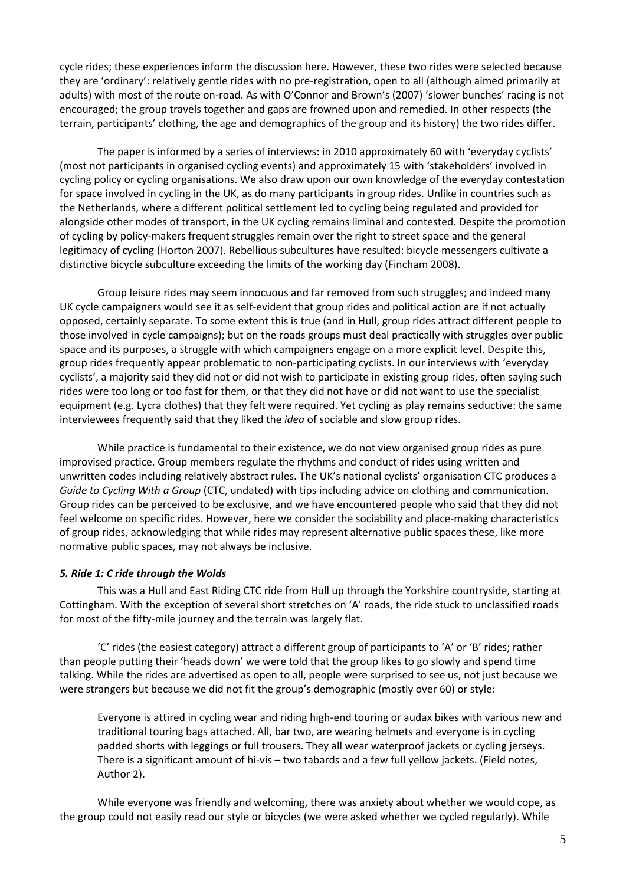cycle rides; these experiences inform the discussion here. However, these two rides were selected because they are 'ordinary': relatively gentle rides with no pre‐registration, open to all (although aimed primarily at adults) with most of the route on‐road. As with O'Connor and Brown's (2007) 'slower bunches' racing is not encouraged; the group travels together and gaps are frowned upon and remedied. In other respects (the terrain, participants' clothing, the age and demographics of the group and its history) the two rides differ.

The paper is informed by a series of interviews: in 2010 approximately 60 with 'everyday cyclists' (most not participants in organised cycling events) and approximately 15 with 'stakeholders' involved in cycling policy or cycling organisations. We also draw upon our own knowledge of the everyday contestation for space involved in cycling in the UK, as do many participants in group rides. Unlike in countries such as the Netherlands, where a different political settlement led to cycling being regulated and provided for alongside other modes of transport, in the UK cycling remains liminal and contested. Despite the promotion of cycling by policy‐makers frequent struggles remain over the right to street space and the general legitimacy of cycling (Horton 2007). Rebellious subcultures have resulted: bicycle messengers cultivate a distinctive bicycle subculture exceeding the limits of the working day (Fincham 2008).

Group leisure rides may seem innocuous and far removed from such struggles; and indeed many UK cycle campaigners would see it as self‐evident that group rides and political action are if not actually opposed, certainly separate. To some extent this is true (and in Hull, group rides attract different people to those involved in cycle campaigns); but on the roads groups must deal practically with struggles over public space and its purposes, a struggle with which campaigners engage on a more explicit level. Despite this, group rides frequently appear problematic to non‐participating cyclists. In our interviews with 'everyday cyclists', a majority said they did not or did not wish to participate in existing group rides, often saying such rides were too long or too fast for them, or that they did not have or did not want to use the specialist equipment (e.g. Lycra clothes) that they felt were required. Yet cycling as play remains seductive: the same interviewees frequently said that they liked the *idea* of sociable and slow group rides.

While practice is fundamental to their existence, we do not view organised group rides as pure improvised practice. Group members regulate the rhythms and conduct of rides using written and unwritten codes including relatively abstract rules. The UK's national cyclists' organisation CTC produces a *Guide to Cycling With a Group* (CTC, undated) with tips including advice on clothing and communication. Group rides can be perceived to be exclusive, and we have encountered people who said that they did not feel welcome on specific rides. However, here we consider the sociability and place-making characteristics of group rides, acknowledging that while rides may represent alternative public spaces these, like more normative public spaces, may not always be inclusive.

### *5. Ride 1: C ride through the Wolds*

This was a Hull and East Riding CTC ride from Hull up through the Yorkshire countryside, starting at Cottingham. With the exception of several short stretches on 'A' roads, the ride stuck to unclassified roads for most of the fifty-mile journey and the terrain was largely flat.

'C' rides (the easiest category) attract a different group of participants to 'A' or 'B' rides; rather than people putting their 'heads down' we were told that the group likes to go slowly and spend time talking. While the rides are advertised as open to all, people were surprised to see us, not just because we were strangers but because we did not fit the group's demographic (mostly over 60) or style:

Everyone is attired in cycling wear and riding high‐end touring or audax bikes with various new and traditional touring bags attached. All, bar two, are wearing helmets and everyone is in cycling padded shorts with leggings or full trousers. They all wear waterproof jackets or cycling jerseys. There is a significant amount of hi-vis – two tabards and a few full yellow jackets. (Field notes, Author 2).

While everyone was friendly and welcoming, there was anxiety about whether we would cope, as the group could not easily read our style or bicycles (we were asked whether we cycled regularly). While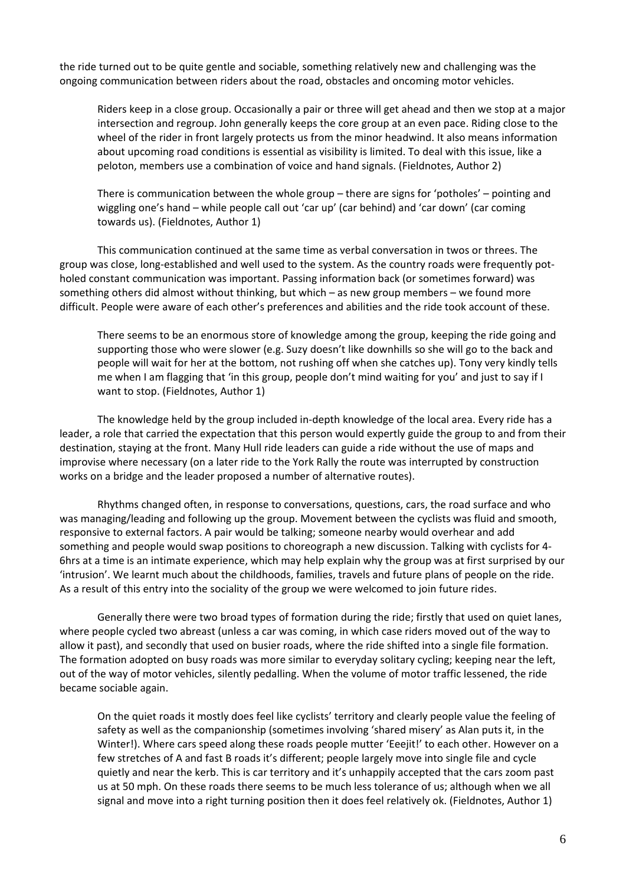the ride turned out to be quite gentle and sociable, something relatively new and challenging was the ongoing communication between riders about the road, obstacles and oncoming motor vehicles.

Riders keep in a close group. Occasionally a pair or three will get ahead and then we stop at a major intersection and regroup. John generally keeps the core group at an even pace. Riding close to the wheel of the rider in front largely protects us from the minor headwind. It also means information about upcoming road conditions is essential as visibility is limited. To deal with this issue, like a peloton, members use a combination of voice and hand signals. (Fieldnotes, Author 2)

There is communication between the whole group – there are signs for 'potholes' – pointing and wiggling one's hand – while people call out 'car up' (car behind) and 'car down' (car coming towards us). (Fieldnotes, Author 1)

This communication continued at the same time as verbal conversation in twos or threes. The group was close, long-established and well used to the system. As the country roads were frequently potholed constant communication was important. Passing information back (or sometimes forward) was something others did almost without thinking, but which – as new group members – we found more difficult. People were aware of each other's preferences and abilities and the ride took account of these.

There seems to be an enormous store of knowledge among the group, keeping the ride going and supporting those who were slower (e.g. Suzy doesn't like downhills so she will go to the back and people will wait for her at the bottom, not rushing off when she catches up). Tony very kindly tells me when I am flagging that 'in this group, people don't mind waiting for you' and just to say if I want to stop. (Fieldnotes, Author 1)

The knowledge held by the group included in‐depth knowledge of the local area. Every ride has a leader, a role that carried the expectation that this person would expertly guide the group to and from their destination, staying at the front. Many Hull ride leaders can guide a ride without the use of maps and improvise where necessary (on a later ride to the York Rally the route was interrupted by construction works on a bridge and the leader proposed a number of alternative routes).

Rhythms changed often, in response to conversations, questions, cars, the road surface and who was managing/leading and following up the group. Movement between the cyclists was fluid and smooth, responsive to external factors. A pair would be talking; someone nearby would overhear and add something and people would swap positions to choreograph a new discussion. Talking with cyclists for 4‐ 6hrs at a time is an intimate experience, which may help explain why the group was at first surprised by our 'intrusion'. We learnt much about the childhoods, families, travels and future plans of people on the ride. As a result of this entry into the sociality of the group we were welcomed to join future rides.

Generally there were two broad types of formation during the ride; firstly that used on quiet lanes, where people cycled two abreast (unless a car was coming, in which case riders moved out of the way to allow it past), and secondly that used on busier roads, where the ride shifted into a single file formation. The formation adopted on busy roads was more similar to everyday solitary cycling; keeping near the left, out of the way of motor vehicles, silently pedalling. When the volume of motor traffic lessened, the ride became sociable again.

On the quiet roads it mostly does feel like cyclists' territory and clearly people value the feeling of safety as well as the companionship (sometimes involving 'shared misery' as Alan puts it, in the Winter!). Where cars speed along these roads people mutter 'Eeejit!' to each other. However on a few stretches of A and fast B roads it's different; people largely move into single file and cycle quietly and near the kerb. This is car territory and it's unhappily accepted that the cars zoom past us at 50 mph. On these roads there seems to be much less tolerance of us; although when we all signal and move into a right turning position then it does feel relatively ok. (Fieldnotes, Author 1)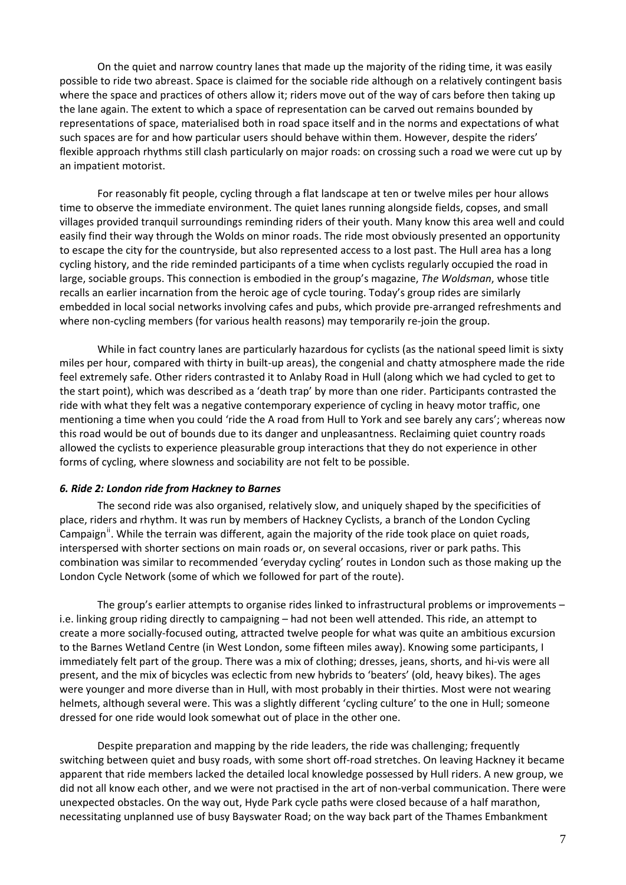On the quiet and narrow country lanes that made up the majority of the riding time, it was easily possible to ride two abreast. Space is claimed for the sociable ride although on a relatively contingent basis where the space and practices of others allow it; riders move out of the way of cars before then taking up the lane again. The extent to which a space of representation can be carved out remains bounded by representations of space, materialised both in road space itself and in the norms and expectations of what such spaces are for and how particular users should behave within them. However, despite the riders' flexible approach rhythms still clash particularly on major roads: on crossing such a road we were cut up by an impatient motorist.

For reasonably fit people, cycling through a flat landscape at ten or twelve miles per hour allows time to observe the immediate environment. The quiet lanes running alongside fields, copses, and small villages provided tranquil surroundings reminding riders of their youth. Many know this area well and could easily find their way through the Wolds on minor roads. The ride most obviously presented an opportunity to escape the city for the countryside, but also represented access to a lost past. The Hull area has a long cycling history, and the ride reminded participants of a time when cyclists regularly occupied the road in large, sociable groups. This connection is embodied in the group's magazine, *The Woldsman*, whose title recalls an earlier incarnation from the heroic age of cycle touring. Today's group rides are similarly embedded in local social networks involving cafes and pubs, which provide pre-arranged refreshments and where non-cycling members (for various health reasons) may temporarily re-join the group.

While in fact country lanes are particularly hazardous for cyclists (as the national speed limit is sixty miles per hour, compared with thirty in built‐up areas), the congenial and chatty atmosphere made the ride feel extremely safe. Other riders contrasted it to Anlaby Road in Hull (along which we had cycled to get to the start point), which was described as a 'death trap' by more than one rider. Participants contrasted the ride with what they felt was a negative contemporary experience of cycling in heavy motor traffic, one mentioning a time when you could 'ride the A road from Hull to York and see barely any cars'; whereas now this road would be out of bounds due to its danger and unpleasantness. Reclaiming quiet country roads allowed the cyclists to experience pleasurable group interactions that they do not experience in other forms of cycling, where slowness and sociability are not felt to be possible.

#### *6. Ride 2: London ride from Hackney to Barnes*

The second ride was also organised, relatively slow, and uniquely shaped by the specificities of place, riders and rhythm. It was run by members of Hackney Cyclists, a branch of the London Cycling Campaign<sup>[ii](#page-11-1)</sup>. While the terrain was different, again the majority of the ride took place on quiet roads, interspersed with shorter sections on main roads or, on several occasions, river or park paths. This combination was similar to recommended 'everyday cycling' routes in London such as those making up the London Cycle Network (some of which we followed for part of the route).

The group's earlier attempts to organise rides linked to infrastructural problems or improvements – i.e. linking group riding directly to campaigning – had not been well attended. This ride, an attempt to create a more socially‐focused outing, attracted twelve people for what was quite an ambitious excursion to the Barnes Wetland Centre (in West London, some fifteen miles away). Knowing some participants, I immediately felt part of the group. There was a mix of clothing; dresses, jeans, shorts, and hi‐vis were all present, and the mix of bicycles was eclectic from new hybrids to 'beaters' (old, heavy bikes). The ages were younger and more diverse than in Hull, with most probably in their thirties. Most were not wearing helmets, although several were. This was a slightly different 'cycling culture' to the one in Hull; someone dressed for one ride would look somewhat out of place in the other one.

Despite preparation and mapping by the ride leaders, the ride was challenging; frequently switching between quiet and busy roads, with some short off-road stretches. On leaving Hackney it became apparent that ride members lacked the detailed local knowledge possessed by Hull riders. A new group, we did not all know each other, and we were not practised in the art of non‐verbal communication. There were unexpected obstacles. On the way out, Hyde Park cycle paths were closed because of a half marathon, necessitating unplanned use of busy Bayswater Road; on the way back part of the Thames Embankment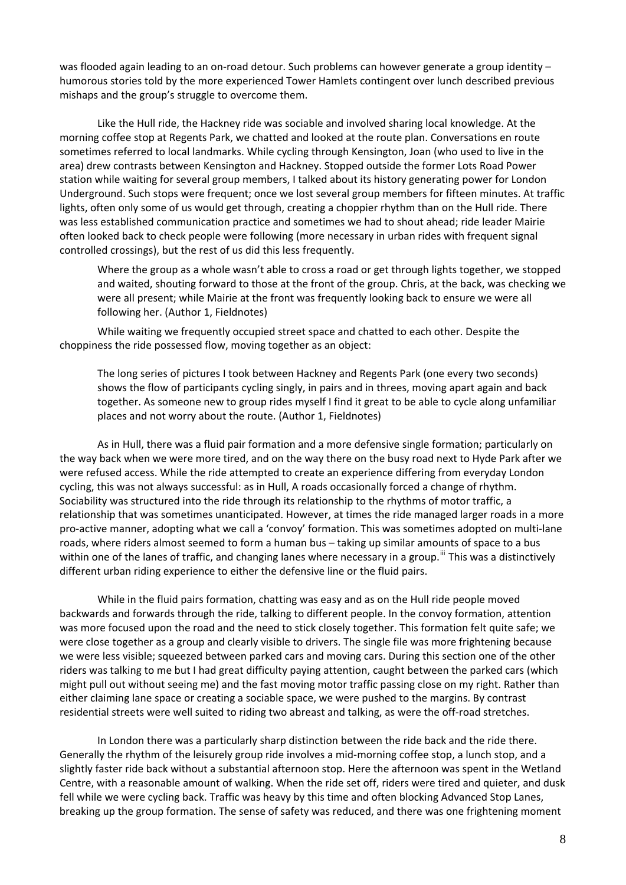was flooded again leading to an on-road detour. Such problems can however generate a group identity – humorous stories told by the more experienced Tower Hamlets contingent over lunch described previous mishaps and the group's struggle to overcome them.

Like the Hull ride, the Hackney ride was sociable and involved sharing local knowledge. At the morning coffee stop at Regents Park, we chatted and looked at the route plan. Conversations en route sometimes referred to local landmarks. While cycling through Kensington, Joan (who used to live in the area) drew contrasts between Kensington and Hackney. Stopped outside the former Lots Road Power station while waiting for several group members, I talked about its history generating power for London Underground. Such stops were frequent; once we lost several group members for fifteen minutes. At traffic lights, often only some of us would get through, creating a choppier rhythm than on the Hull ride. There was less established communication practice and sometimes we had to shout ahead; ride leader Mairie often looked back to check people were following (more necessary in urban rides with frequent signal controlled crossings), but the rest of us did this less frequently.

Where the group as a whole wasn't able to cross a road or get through lights together, we stopped and waited, shouting forward to those at the front of the group. Chris, at the back, was checking we were all present; while Mairie at the front was frequently looking back to ensure we were all following her. (Author 1, Fieldnotes)

While waiting we frequently occupied street space and chatted to each other. Despite the choppiness the ride possessed flow, moving together as an object:

The long series of pictures I took between Hackney and Regents Park (one every two seconds) shows the flow of participants cycling singly, in pairs and in threes, moving apart again and back together. As someone new to group rides myself I find it great to be able to cycle along unfamiliar places and not worry about the route. (Author 1, Fieldnotes)

As in Hull, there was a fluid pair formation and a more defensive single formation; particularly on the way back when we were more tired, and on the way there on the busy road next to Hyde Park after we were refused access. While the ride attempted to create an experience differing from everyday London cycling, this was not always successful: as in Hull, A roads occasionally forced a change of rhythm. Sociability was structured into the ride through its relationship to the rhythms of motor traffic, a relationship that was sometimes unanticipated. However, at times the ride managed larger roads in a more pro‐active manner, adopting what we call a 'convoy' formation. This was sometimes adopted on multi‐lane roads, where riders almost seemed to form a human bus – taking up similar amounts of space to a bus within one of the lanes of traffic, and changing lanes where necessary in a group.<sup>[iii](#page-11-2)</sup> This was a distinctively different urban riding experience to either the defensive line or the fluid pairs.

While in the fluid pairs formation, chatting was easy and as on the Hull ride people moved backwards and forwards through the ride, talking to different people. In the convoy formation, attention was more focused upon the road and the need to stick closely together. This formation felt quite safe; we were close together as a group and clearly visible to drivers. The single file was more frightening because we were less visible; squeezed between parked cars and moving cars. During this section one of the other riders was talking to me but I had great difficulty paying attention, caught between the parked cars (which might pull out without seeing me) and the fast moving motor traffic passing close on my right. Rather than either claiming lane space or creating a sociable space, we were pushed to the margins. By contrast residential streets were well suited to riding two abreast and talking, as were the off-road stretches.

In London there was a particularly sharp distinction between the ride back and the ride there. Generally the rhythm of the leisurely group ride involves a mid-morning coffee stop, a lunch stop, and a slightly faster ride back without a substantial afternoon stop. Here the afternoon was spent in the Wetland Centre, with a reasonable amount of walking. When the ride set off, riders were tired and quieter, and dusk fell while we were cycling back. Traffic was heavy by this time and often blocking Advanced Stop Lanes, breaking up the group formation. The sense of safety was reduced, and there was one frightening moment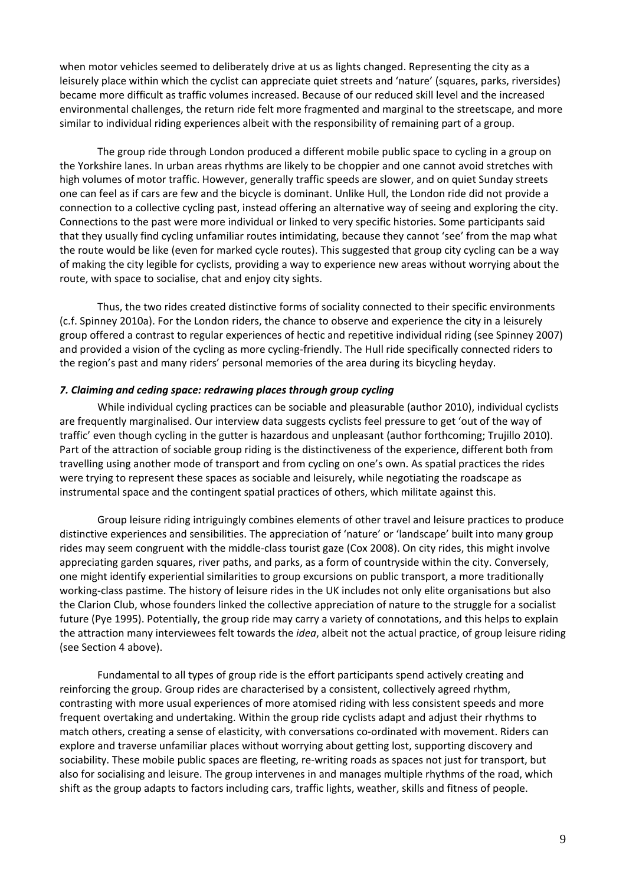when motor vehicles seemed to deliberately drive at us as lights changed. Representing the city as a leisurely place within which the cyclist can appreciate quiet streets and 'nature' (squares, parks, riversides) became more difficult as traffic volumes increased. Because of our reduced skill level and the increased environmental challenges, the return ride felt more fragmented and marginal to the streetscape, and more similar to individual riding experiences albeit with the responsibility of remaining part of a group.

The group ride through London produced a different mobile public space to cycling in a group on the Yorkshire lanes. In urban areas rhythms are likely to be choppier and one cannot avoid stretches with high volumes of motor traffic. However, generally traffic speeds are slower, and on quiet Sunday streets one can feel as if cars are few and the bicycle is dominant. Unlike Hull, the London ride did not provide a connection to a collective cycling past, instead offering an alternative way of seeing and exploring the city. Connections to the past were more individual or linked to very specific histories. Some participants said that they usually find cycling unfamiliar routes intimidating, because they cannot 'see' from the map what the route would be like (even for marked cycle routes). This suggested that group city cycling can be a way of making the city legible for cyclists, providing a way to experience new areas without worrying about the route, with space to socialise, chat and enjoy city sights.

Thus, the two rides created distinctive forms of sociality connected to their specific environments (c.f. Spinney 2010a). For the London riders, the chance to observe and experience the city in a leisurely group offered a contrast to regular experiences of hectic and repetitive individual riding (see Spinney 2007) and provided a vision of the cycling as more cycling-friendly. The Hull ride specifically connected riders to the region's past and many riders' personal memories of the area during its bicycling heyday.

### *7. Claiming and ceding space: redrawing places through group cycling*

While individual cycling practices can be sociable and pleasurable (author 2010), individual cyclists are frequently marginalised. Our interview data suggests cyclists feel pressure to get 'out of the way of traffic' even though cycling in the gutter is hazardous and unpleasant (author forthcoming; Trujillo 2010). Part of the attraction of sociable group riding is the distinctiveness of the experience, different both from travelling using another mode of transport and from cycling on one's own. As spatial practices the rides were trying to represent these spaces as sociable and leisurely, while negotiating the roadscape as instrumental space and the contingent spatial practices of others, which militate against this.

Group leisure riding intriguingly combines elements of other travel and leisure practices to produce distinctive experiences and sensibilities. The appreciation of 'nature' or 'landscape' built into many group rides may seem congruent with the middle‐class tourist gaze (Cox 2008). On city rides, this might involve appreciating garden squares, river paths, and parks, as a form of countryside within the city. Conversely, one might identify experiential similarities to group excursions on public transport, a more traditionally working-class pastime. The history of leisure rides in the UK includes not only elite organisations but also the Clarion Club, whose founders linked the collective appreciation of nature to the struggle for a socialist future (Pye 1995). Potentially, the group ride may carry a variety of connotations, and this helps to explain the attraction many interviewees felt towards the *idea*, albeit not the actual practice, of group leisure riding (see Section 4 above).

Fundamental to all types of group ride is the effort participants spend actively creating and reinforcing the group. Group rides are characterised by a consistent, collectively agreed rhythm, contrasting with more usual experiences of more atomised riding with less consistent speeds and more frequent overtaking and undertaking. Within the group ride cyclists adapt and adjust their rhythms to match others, creating a sense of elasticity, with conversations co-ordinated with movement. Riders can explore and traverse unfamiliar places without worrying about getting lost, supporting discovery and sociability. These mobile public spaces are fleeting, re-writing roads as spaces not just for transport, but also for socialising and leisure. The group intervenes in and manages multiple rhythms of the road, which shift as the group adapts to factors including cars, traffic lights, weather, skills and fitness of people.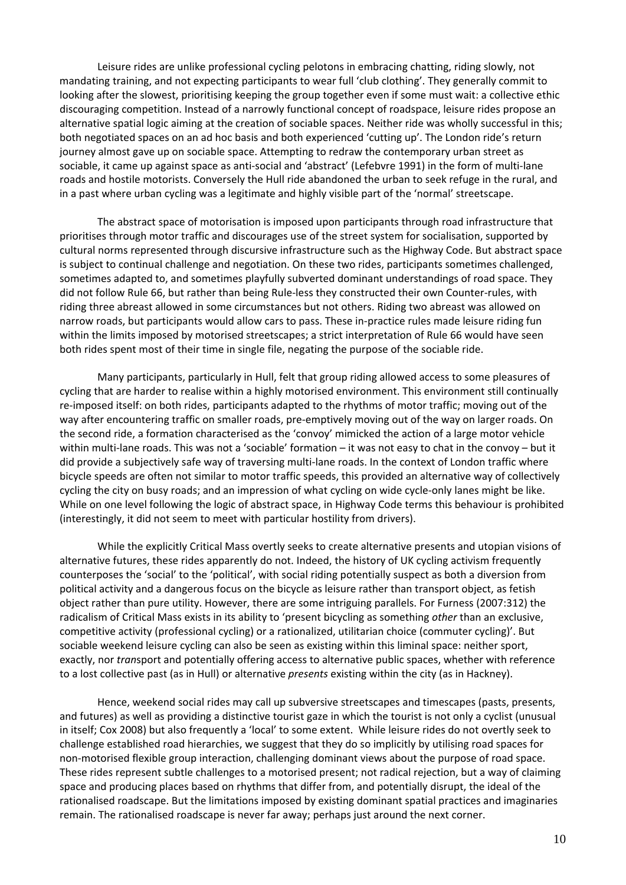Leisure rides are unlike professional cycling pelotons in embracing chatting, riding slowly, not mandating training, and not expecting participants to wear full 'club clothing'. They generally commit to looking after the slowest, prioritising keeping the group together even if some must wait: a collective ethic discouraging competition. Instead of a narrowly functional concept of roadspace, leisure rides propose an alternative spatial logic aiming at the creation of sociable spaces. Neither ride was wholly successful in this; both negotiated spaces on an ad hoc basis and both experienced 'cutting up'. The London ride's return journey almost gave up on sociable space. Attempting to redraw the contemporary urban street as sociable, it came up against space as anti‐social and 'abstract' (Lefebvre 1991) in the form of multi‐lane roads and hostile motorists. Conversely the Hull ride abandoned the urban to seek refuge in the rural, and in a past where urban cycling was a legitimate and highly visible part of the 'normal' streetscape.

The abstract space of motorisation is imposed upon participants through road infrastructure that prioritises through motor traffic and discourages use of the street system for socialisation, supported by cultural norms represented through discursive infrastructure such as the Highway Code. But abstract space is subject to continual challenge and negotiation. On these two rides, participants sometimes challenged, sometimes adapted to, and sometimes playfully subverted dominant understandings of road space. They did not follow Rule 66, but rather than being Rule‐less they constructed their own Counter‐rules, with riding three abreast allowed in some circumstances but not others. Riding two abreast was allowed on narrow roads, but participants would allow cars to pass. These in‐practice rules made leisure riding fun within the limits imposed by motorised streetscapes; a strict interpretation of Rule 66 would have seen both rides spent most of their time in single file, negating the purpose of the sociable ride.

Many participants, particularly in Hull, felt that group riding allowed access to some pleasures of cycling that are harder to realise within a highly motorised environment. This environment still continually re-imposed itself: on both rides, participants adapted to the rhythms of motor traffic; moving out of the way after encountering traffic on smaller roads, pre‐emptively moving out of the way on larger roads. On the second ride, a formation characterised as the 'convoy' mimicked the action of a large motor vehicle within multi-lane roads. This was not a 'sociable' formation – it was not easy to chat in the convoy – but it did provide a subjectively safe way of traversing multi‐lane roads. In the context of London traffic where bicycle speeds are often not similar to motor traffic speeds, this provided an alternative way of collectively cycling the city on busy roads; and an impression of what cycling on wide cycle-only lanes might be like. While on one level following the logic of abstract space, in Highway Code terms this behaviour is prohibited (interestingly, it did not seem to meet with particular hostility from drivers).

While the explicitly Critical Mass overtly seeks to create alternative presents and utopian visions of alternative futures, these rides apparently do not. Indeed, the history of UK cycling activism frequently counterposes the 'social' to the 'political', with social riding potentially suspect as both a diversion from political activity and a dangerous focus on the bicycle as leisure rather than transport object, as fetish object rather than pure utility. However, there are some intriguing parallels. For Furness (2007:312) the radicalism of Critical Mass exists in its ability to 'present bicycling as something *other* than an exclusive, competitive activity (professional cycling) or a rationalized, utilitarian choice (commuter cycling)'. But sociable weekend leisure cycling can also be seen as existing within this liminal space: neither sport, exactly, nor *tran*sport and potentially offering access to alternative public spaces, whether with reference to a lost collective past (as in Hull) or alternative *presents* existing within the city (as in Hackney).

Hence, weekend social rides may call up subversive streetscapes and timescapes (pasts, presents, and futures) as well as providing a distinctive tourist gaze in which the tourist is not only a cyclist (unusual in itself; Cox 2008) but also frequently a 'local' to some extent. While leisure rides do not overtly seek to challenge established road hierarchies, we suggest that they do so implicitly by utilising road spaces for non‐motorised flexible group interaction, challenging dominant views about the purpose of road space. These rides represent subtle challenges to a motorised present; not radical rejection, but a way of claiming space and producing places based on rhythms that differ from, and potentially disrupt, the ideal of the rationalised roadscape. But the limitations imposed by existing dominant spatial practices and imaginaries remain. The rationalised roadscape is never far away; perhaps just around the next corner.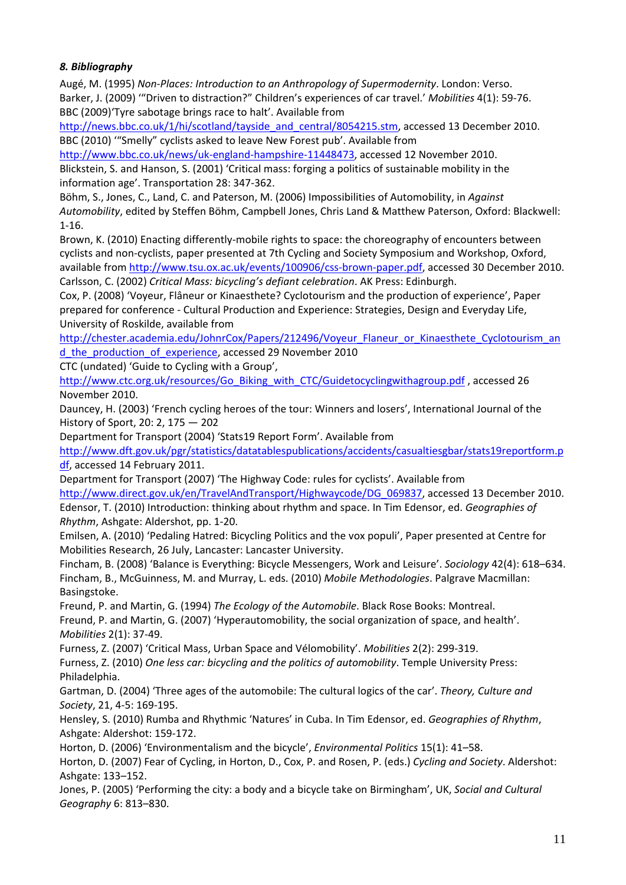# *8. Bibliography*

Augé, M. (1995) *Non‐Places: Introduction to an Anthropology of Supermodernity*. London: Verso. Barker, J. (2009) '"Driven to distraction?" Children's experiences of car travel.' *Mobilities* 4(1): 59‐76. BBC (2009)'Tyre sabotage brings race to halt'. Available from

[http://news.bbc.co.uk/1/hi/scotland/tayside\\_and\\_central/8054215.stm,](http://news.bbc.co.uk/1/hi/scotland/tayside_and_central/8054215.stm) accessed 13 December 2010. BBC (2010) '"Smelly" cyclists asked to leave New Forest pub'. Available from

[http://www.bbc.co.uk/news/uk](http://www.bbc.co.uk/news/uk-england-hampshire-11448473)‐england‐hampshire‐11448473, accessed 12 November 2010. Blickstein, S. and Hanson, S. (2001) 'Critical mass: forging a politics of sustainable mobility in the information age'. Transportation 28: 347‐362.

Böhm, S., Jones, C., Land, C. and Paterson, M. (2006) Impossibilities of Automobility, in *Against Automobility*, edited by Steffen Böhm, Campbell Jones, Chris Land & Matthew Paterson, Oxford: Blackwell: 1‐16.

Brown, K. (2010) Enacting differently-mobile rights to space: the choreography of encounters between cyclists and non‐cyclists, paper presented at 7th Cycling and Society Symposium and Workshop, Oxford, available from [http://www.tsu.ox.ac.uk/events/100906/css](http://www.tsu.ox.ac.uk/events/100906/css-brown-paper.pdf)-brown-paper.pdf, accessed 30 December 2010. Carlsson, C. (2002) *Critical Mass: bicycling's defiant celebration*. AK Press: Edinburgh.

Cox, P. (2008) 'Voyeur, Flâneur or Kinaesthete? Cyclotourism and the production of experience', Paper prepared for conference ‐ Cultural Production and Experience: Strategies, Design and Everyday Life, University of Roskilde, available from

[http://chester.academia.edu/JohnrCox/Papers/212496/Voyeur\\_Flaneur\\_or\\_Kinaesthete\\_Cyclotourism\\_an](http://chester.academia.edu/PeterCox/Papers/212496/Voyeur_Flaneur_or_Kinaesthete_Cyclotourism_and_the_production_of_experience) [d\\_the\\_production\\_of\\_experience](http://chester.academia.edu/PeterCox/Papers/212496/Voyeur_Flaneur_or_Kinaesthete_Cyclotourism_and_the_production_of_experience), accessed 29 November 2010

CTC (undated) 'Guide to Cycling with a Group',

[http://www.ctc.org.uk/resources/Go\\_Biking\\_with\\_CTC/Guidetocyclingwithagroup.pdf](http://www.ctc.org.uk/resources/Go_Biking_with_CTC/Guidetocyclingwithagroup.pdf), accessed 26 November 2010.

Dauncey, H. (2003) 'French cycling heroes of the tour: Winners and losers', International Journal of the History of Sport, 20: 2, 175 — 202

Department for Transport (2004) 'Stats19 Report Form'. Available from

[http://www.dft.gov.uk/pgr/statistics/datatablespublications/accidents/casualtiesgbar/stats19reportform.p](http://www.dft.gov.uk/pgr/statistics/datatablespublications/accidents/casualtiesgbar/stats19reportform.pdf) [df,](http://www.dft.gov.uk/pgr/statistics/datatablespublications/accidents/casualtiesgbar/stats19reportform.pdf) accessed 14 February 2011.

Department for Transport (2007) 'The Highway Code: rules for cyclists'. Available from [http://www.direct.gov.uk/en/TravelAndTransport/Highwaycode/DG\\_069837,](http://www.direct.gov.uk/en/TravelAndTransport/Highwaycode/DG_069837) accessed 13 December 2010. Edensor, T. (2010) Introduction: thinking about rhythm and space. In Tim Edensor, ed. *Geographies of Rhythm*, Ashgate: Aldershot, pp. 1‐20.

Emilsen, A. (2010) 'Pedaling Hatred: Bicycling Politics and the vox populi', Paper presented at Centre for Mobilities Research, 26 July, Lancaster: Lancaster University.

Fincham, B. (2008) 'Balance is Everything: Bicycle Messengers, Work and Leisure'. *Sociology* 42(4): 618–634. Fincham, B., McGuinness, M. and Murray, L. eds. (2010) *Mobile Methodologies*. Palgrave Macmillan: Basingstoke.

Freund, P. and Martin, G. (1994) *The Ecology of the Automobile*. Black Rose Books: Montreal. Freund, P. and Martin, G. (2007) 'Hyperautomobility, the social organization of space, and health'. *Mobilities* 2(1): 37‐49.

Furness, Z. (2007) 'Critical Mass, Urban Space and Vélomobility'. *Mobilities* 2(2): 299‐319.

Furness, Z. (2010) *One less car: bicycling and the politics of automobility*. Temple University Press: Philadelphia.

Gartman, D. (2004) 'Three ages of the automobile: The cultural logics of the car'. *Theory, Culture and Society*, 21, 4‐5: 169‐195.

Hensley, S. (2010) Rumba and Rhythmic 'Natures' in Cuba. In Tim Edensor, ed. *Geographies of Rhythm*, Ashgate: Aldershot: 159‐172.

Horton, D. (2006) 'Environmentalism and the bicycle', *Environmental Politics* 15(1): 41–58.

Horton, D. (2007) Fear of Cycling, in Horton, D., Cox, P. and Rosen, P. (eds.) *Cycling and Society*. Aldershot: Ashgate: 133–152.

Jones, P. (2005) 'Performing the city: a body and a bicycle take on Birmingham', UK, *Social and Cultural Geography* 6: 813–830.